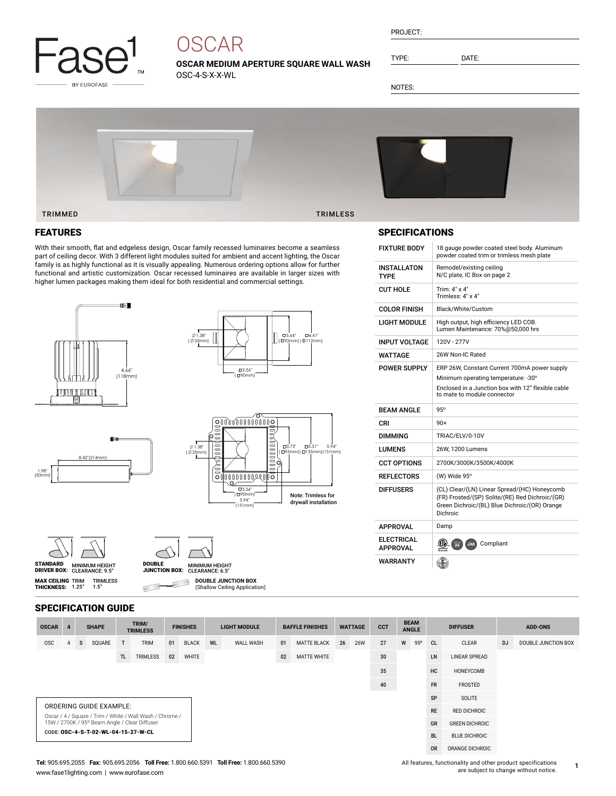

# **OSCAR**

**OSCAR MEDIUM APERTURE SQUARE WALL WASH** OSC-4-S-X-X-WL

| PROJECT: |  |
|----------|--|
|          |  |

TYPE: DATE:

NOTES:



## FEATURES

With their smooth, flat and edgeless design, Oscar family recessed luminaires become a seamless part of ceiling decor. With 3 different light modules suited for ambient and accent lighting, the Oscar family is as highly functional as it is visually appealing. Numerous ordering options allow for further functional and artistic customization. Oscar recessed luminaires are available in larger sizes with higher lumen packages making them ideal for both residential and commercial settings.











**MAX CEILING** TRIM<br>**THICKNESS:** 1.25"



**DOUBLE JUNCTION BOX** Е

(Shallow Ceiling Application)

# SPECIFICATION GUIDE

TRIMLESS 1.5"

| <b>OSCAR</b>                                                                                              | 4  |    | <b>SHAPE</b> |     | TRIM/<br><b>TRIMLESS</b> | <b>FINISHES</b> |              | <b>LIGHT MODULE</b> |                      | <b>BAFFLE FINISHES</b> |                    | <b>WATTAGE</b> |            | <b>CCT</b>      | <b>BEAM</b><br><b>ANGLE</b> |     | <b>DIFFUSER</b> |                      | <b>ADD-ONS</b> |                     |
|-----------------------------------------------------------------------------------------------------------|----|----|--------------|-----|--------------------------|-----------------|--------------|---------------------|----------------------|------------------------|--------------------|----------------|------------|-----------------|-----------------------------|-----|-----------------|----------------------|----------------|---------------------|
| <b>OSC</b>                                                                                                | 4  | s. | SQUARE       | T   | <b>TRIM</b>              | 01              | <b>BLACK</b> | <b>WL</b>           | WALL WASH            | 01                     | <b>MATTE BLACK</b> | 26             | <b>26W</b> | 27              | W                           | 95° | CL.             | CLEAR                | <b>DJ</b>      | DOUBLE JUNCTION BOX |
|                                                                                                           |    |    |              | TL. | TRIMLESS                 | 02              | WHITE        |                     |                      | 02                     | MATTE WHITE        |                |            | 30 <sup>°</sup> |                             |     | LN              | <b>LINEAR SPREAD</b> |                |                     |
|                                                                                                           | 35 |    |              |     |                          |                 |              | HC                  | HONEYCOMB            |                        |                    |                |            |                 |                             |     |                 |                      |                |                     |
| 40                                                                                                        |    |    |              |     |                          |                 |              |                     | <b>FR</b>            | FROSTED                |                    |                |            |                 |                             |     |                 |                      |                |                     |
|                                                                                                           |    |    |              |     |                          |                 |              |                     |                      | SP                     | SOLITE             |                |            |                 |                             |     |                 |                      |                |                     |
| ORDERING GUIDE EXAMPLE:                                                                                   |    |    |              |     |                          |                 |              | <b>RE</b>           | <b>RED DICHROIC</b>  |                        |                    |                |            |                 |                             |     |                 |                      |                |                     |
| Oscar / 4 / Square / Trim / White / Wall Wash / Chrome /<br>15W / 2700K / 95° Beam Angle / Clear Diffuser |    |    |              |     |                          |                 |              |                     | GR                   | <b>GREEN DICHROIC</b>  |                    |                |            |                 |                             |     |                 |                      |                |                     |
| CODE: OSC-4-S-T-02-WL-04-15-27-W-CL                                                                       |    |    |              |     |                          |                 |              | <b>BL</b>           | <b>BLUE DICHROIC</b> |                        |                    |                |            |                 |                             |     |                 |                      |                |                     |
|                                                                                                           |    |    |              |     |                          |                 |              |                     |                      |                        |                    |                |            |                 |                             |     | <b>OR</b>       | ORANGE DICHROIC      |                |                     |

# SPECIFICATIONS

| <b>FIXTURE BODY</b>                              | 18 gauge powder coated steel body. Aluminum<br>powder coated trim or trimless mesh plate                                                                     |
|--------------------------------------------------|--------------------------------------------------------------------------------------------------------------------------------------------------------------|
| INSTALLATON<br><b>TYPF</b>                       | Remodel/existing ceiling<br>N/C plate, IC Box on page 2                                                                                                      |
| <b>CUT HOLE</b>                                  | Trim: 4" x 4"<br>Trimless: 4" x 4"                                                                                                                           |
| <b>COLOR FINISH</b>                              | Black/White/Custom                                                                                                                                           |
| LIGHT MODULE                                     | High output, high efficiency LED COB.<br>Lumen Maintenance: 70%@50,000 hrs                                                                                   |
| <b>INPUT VOLTAGE</b>                             | 120V - 277V                                                                                                                                                  |
| WATTAGE                                          | 26W Non-IC Rated                                                                                                                                             |
| <b>POWER SUPPLY</b>                              | ERP 26W, Constant Current 700mA power supply                                                                                                                 |
|                                                  | Minimum operating temperature: -30°                                                                                                                          |
|                                                  | Enclosed in a Junction box with 12" flexible cable<br>to mate to module connector                                                                            |
|                                                  |                                                                                                                                                              |
| <b>BEAM ANGLE</b>                                | $95^\circ$                                                                                                                                                   |
| CRI                                              | $90+$                                                                                                                                                        |
| <b>DIMMING</b>                                   | TRIAC/ELV/0-10V                                                                                                                                              |
| LUMENS                                           | 26W, 1200 Lumens                                                                                                                                             |
| <b>CCT OPTIONS</b>                               | 2700K/3000K/3500K/4000K                                                                                                                                      |
| <b>REFLECTORS</b>                                | (W) Wide 95°                                                                                                                                                 |
| <b>DIFFUSERS</b>                                 | (CL) Clear/(LN) Linear Spread/(HC) Honeycomb<br>(FR) Frosted/(SP) Solite/(RE) Red Dichroic/(GR)<br>Green Dichroic/(BL) Blue Dichroic/(OR) Orange<br>Dichroic |
|                                                  | Damp                                                                                                                                                         |
| <b>APPROVAL</b><br>ELECTRICAL<br><b>APPROVAL</b> | (CTL)<br>$\frac{1}{24}$<br>Compliant<br>JAB                                                                                                                  |

 $\subset$ 

All features, functionality and other product specifications are subject to change without notice.

**1**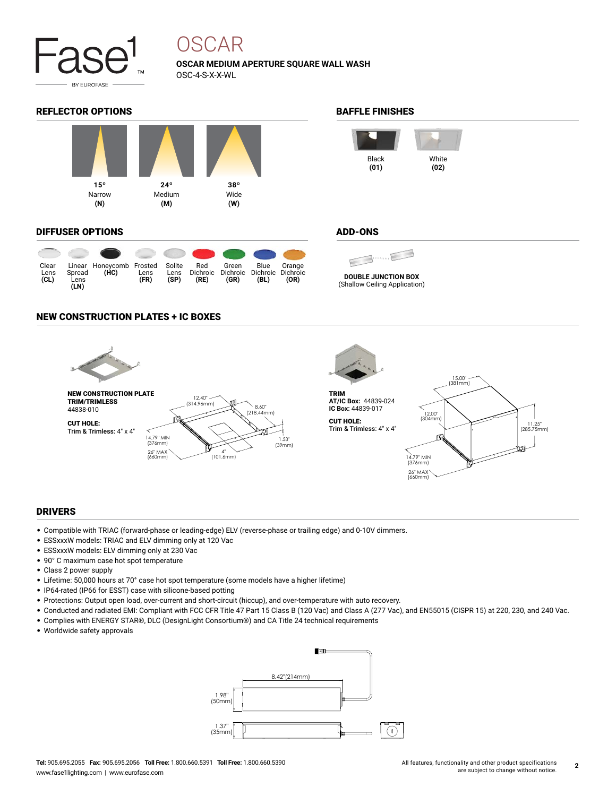

# OSCAR

**OSCAR MEDIUM APERTURE SQUARE WALL WASH** OSC-4-S-X-X-WL

### REFLECTOR OPTIONS **BAFFLE FINISHES**



#### DIFFUSER OPTIONS

| Clear<br>Lens<br>CL) | Spread<br>Lens<br>(LN) | Linear Honeycomb Frosted<br>(HC) | Lens<br>(FR) | Solite<br>Lens<br>(SP) | Red<br>Dichroic<br>(RE) | Green<br>(GR) | Blue<br>Dichroic Dichroic Dichroic<br>(BL) | Orange<br>(OR) |
|----------------------|------------------------|----------------------------------|--------------|------------------------|-------------------------|---------------|--------------------------------------------|----------------|



### ADD-ONS



(Shallow Ceiling Application)

#### NEW CONSTRUCTION PLATES + IC BOXES



#### DRIVERS

- Compatible with TRIAC (forward-phase or leading-edge) ELV (reverse-phase or trailing edge) and 0-10V dimmers.
- ESSxxxW models: TRIAC and ELV dimming only at 120 Vac
- ESSxxxW models: ELV dimming only at 230 Vac
- 90° C maximum case hot spot temperature
- Class 2 power supply
- Lifetime: 50,000 hours at 70° case hot spot temperature (some models have a higher lifetime)
- IP64-rated (IP66 for ESST) case with silicone-based potting
- Protections: Output open load, over-current and short-circuit (hiccup), and over-temperature with auto recovery.
- Conducted and radiated EMI: Compliant with FCC CFR Title 47 Part 15 Class B (120 Vac) and Class A (277 Vac), and EN55015 (CISPR 15) at 220, 230, and 240 Vac.
- Complies with ENERGY STAR®, DLC (DesignLight Consortium®) and CA Title 24 technical requirements
- Worldwide safety approvals